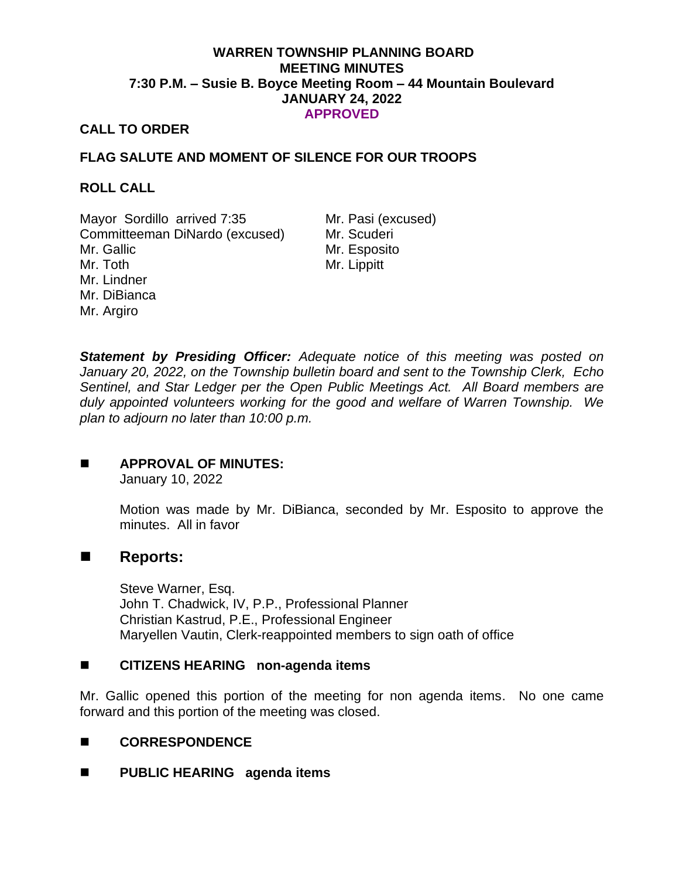## **WARREN TOWNSHIP PLANNING BOARD MEETING MINUTES 7:30 P.M. – Susie B. Boyce Meeting Room – 44 Mountain Boulevard JANUARY 24, 2022 APPROVED**

## **CALL TO ORDER**

# **FLAG SALUTE AND MOMENT OF SILENCE FOR OUR TROOPS**

## **ROLL CALL**

Mayor Sordillo arrived 7:35 Mr. Pasi (excused) Committeeman DiNardo (excused) Mr. Scuderi Mr. Gallic Mr. Toth Mr. Lindner Mr. DiBianca Mr. Argiro

Mr. Esposito Mr. Lippitt

*Statement by Presiding Officer: Adequate notice of this meeting was posted on January 20, 2022, on the Township bulletin board and sent to the Township Clerk, Echo Sentinel, and Star Ledger per the Open Public Meetings Act. All Board members are duly appointed volunteers working for the good and welfare of Warren Township. We plan to adjourn no later than 10:00 p.m.*

# ◼ **APPROVAL OF MINUTES:**

January 10, 2022

Motion was made by Mr. DiBianca, seconded by Mr. Esposito to approve the minutes. All in favor

# ◼ **Reports:**

Steve Warner, Esq. John T. Chadwick, IV, P.P., Professional Planner Christian Kastrud, P.E., Professional Engineer Maryellen Vautin, Clerk-reappointed members to sign oath of office

## ■ CITIZENS HEARING non-agenda items

Mr. Gallic opened this portion of the meeting for non agenda items. No one came forward and this portion of the meeting was closed.

## ◼ **CORRESPONDENCE**

◼ **PUBLIC HEARING agenda items**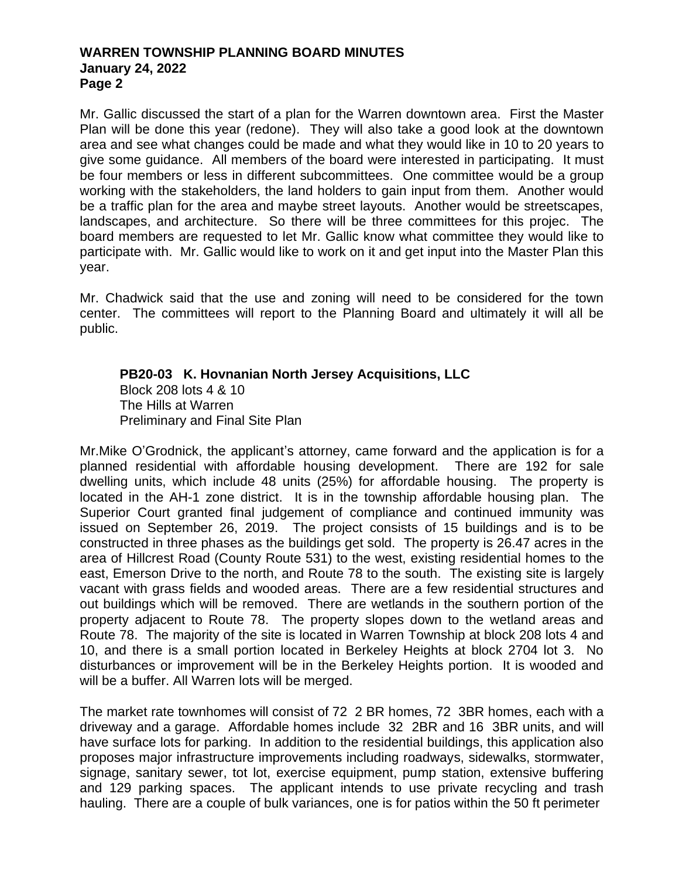Mr. Gallic discussed the start of a plan for the Warren downtown area. First the Master Plan will be done this year (redone). They will also take a good look at the downtown area and see what changes could be made and what they would like in 10 to 20 years to give some guidance. All members of the board were interested in participating. It must be four members or less in different subcommittees. One committee would be a group working with the stakeholders, the land holders to gain input from them. Another would be a traffic plan for the area and maybe street layouts. Another would be streetscapes, landscapes, and architecture. So there will be three committees for this projec. The board members are requested to let Mr. Gallic know what committee they would like to participate with. Mr. Gallic would like to work on it and get input into the Master Plan this year.

Mr. Chadwick said that the use and zoning will need to be considered for the town center. The committees will report to the Planning Board and ultimately it will all be public.

# **PB20-03 K. Hovnanian North Jersey Acquisitions, LLC** Block 208 lots 4 & 10 The Hills at Warren Preliminary and Final Site Plan

Mr.Mike O'Grodnick, the applicant's attorney, came forward and the application is for a planned residential with affordable housing development. There are 192 for sale dwelling units, which include 48 units (25%) for affordable housing. The property is located in the AH-1 zone district. It is in the township affordable housing plan. The Superior Court granted final judgement of compliance and continued immunity was issued on September 26, 2019. The project consists of 15 buildings and is to be constructed in three phases as the buildings get sold. The property is 26.47 acres in the area of Hillcrest Road (County Route 531) to the west, existing residential homes to the east, Emerson Drive to the north, and Route 78 to the south. The existing site is largely vacant with grass fields and wooded areas. There are a few residential structures and out buildings which will be removed. There are wetlands in the southern portion of the property adjacent to Route 78. The property slopes down to the wetland areas and Route 78. The majority of the site is located in Warren Township at block 208 lots 4 and 10, and there is a small portion located in Berkeley Heights at block 2704 lot 3. No disturbances or improvement will be in the Berkeley Heights portion. It is wooded and will be a buffer. All Warren lots will be merged.

The market rate townhomes will consist of 72 2 BR homes, 72 3BR homes, each with a driveway and a garage. Affordable homes include 32 2BR and 16 3BR units, and will have surface lots for parking. In addition to the residential buildings, this application also proposes major infrastructure improvements including roadways, sidewalks, stormwater, signage, sanitary sewer, tot lot, exercise equipment, pump station, extensive buffering and 129 parking spaces. The applicant intends to use private recycling and trash hauling. There are a couple of bulk variances, one is for patios within the 50 ft perimeter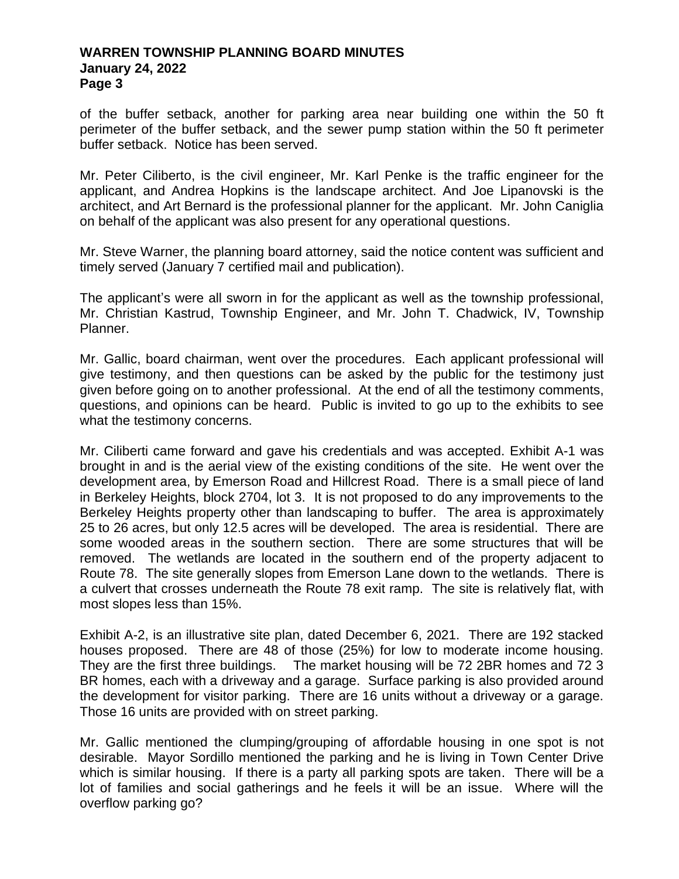of the buffer setback, another for parking area near building one within the 50 ft perimeter of the buffer setback, and the sewer pump station within the 50 ft perimeter buffer setback. Notice has been served.

Mr. Peter Ciliberto, is the civil engineer, Mr. Karl Penke is the traffic engineer for the applicant, and Andrea Hopkins is the landscape architect. And Joe Lipanovski is the architect, and Art Bernard is the professional planner for the applicant. Mr. John Caniglia on behalf of the applicant was also present for any operational questions.

Mr. Steve Warner, the planning board attorney, said the notice content was sufficient and timely served (January 7 certified mail and publication).

The applicant's were all sworn in for the applicant as well as the township professional, Mr. Christian Kastrud, Township Engineer, and Mr. John T. Chadwick, IV, Township Planner.

Mr. Gallic, board chairman, went over the procedures. Each applicant professional will give testimony, and then questions can be asked by the public for the testimony just given before going on to another professional. At the end of all the testimony comments, questions, and opinions can be heard. Public is invited to go up to the exhibits to see what the testimony concerns.

Mr. Ciliberti came forward and gave his credentials and was accepted. Exhibit A-1 was brought in and is the aerial view of the existing conditions of the site. He went over the development area, by Emerson Road and Hillcrest Road. There is a small piece of land in Berkeley Heights, block 2704, lot 3. It is not proposed to do any improvements to the Berkeley Heights property other than landscaping to buffer. The area is approximately 25 to 26 acres, but only 12.5 acres will be developed. The area is residential. There are some wooded areas in the southern section. There are some structures that will be removed. The wetlands are located in the southern end of the property adjacent to Route 78. The site generally slopes from Emerson Lane down to the wetlands. There is a culvert that crosses underneath the Route 78 exit ramp. The site is relatively flat, with most slopes less than 15%.

Exhibit A-2, is an illustrative site plan, dated December 6, 2021. There are 192 stacked houses proposed. There are 48 of those (25%) for low to moderate income housing. They are the first three buildings. The market housing will be 72 2BR homes and 72 3 BR homes, each with a driveway and a garage. Surface parking is also provided around the development for visitor parking. There are 16 units without a driveway or a garage. Those 16 units are provided with on street parking.

Mr. Gallic mentioned the clumping/grouping of affordable housing in one spot is not desirable. Mayor Sordillo mentioned the parking and he is living in Town Center Drive which is similar housing. If there is a party all parking spots are taken. There will be a lot of families and social gatherings and he feels it will be an issue. Where will the overflow parking go?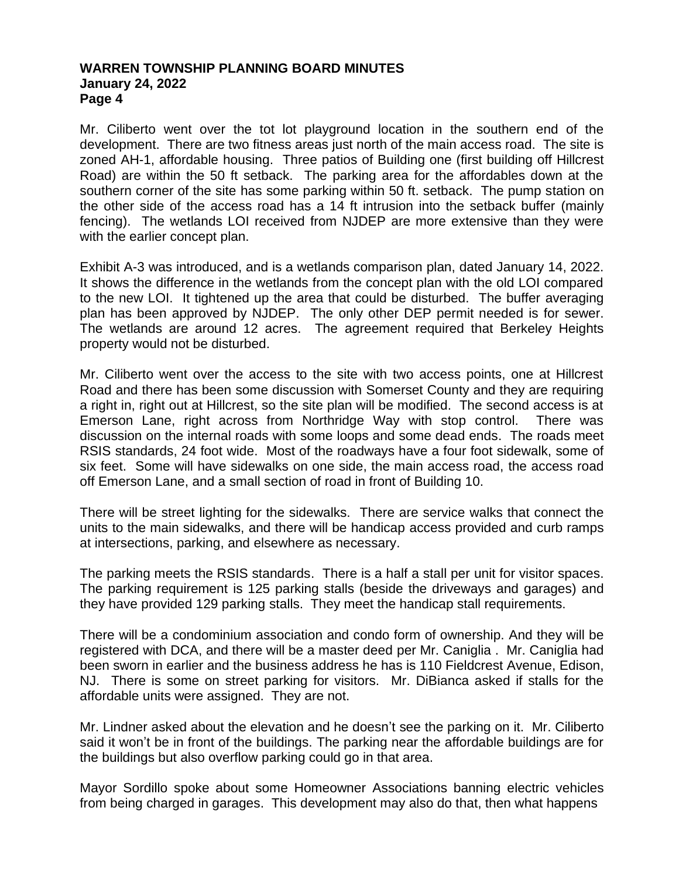Mr. Ciliberto went over the tot lot playground location in the southern end of the development. There are two fitness areas just north of the main access road. The site is zoned AH-1, affordable housing. Three patios of Building one (first building off Hillcrest Road) are within the 50 ft setback. The parking area for the affordables down at the southern corner of the site has some parking within 50 ft. setback. The pump station on the other side of the access road has a 14 ft intrusion into the setback buffer (mainly fencing). The wetlands LOI received from NJDEP are more extensive than they were with the earlier concept plan.

Exhibit A-3 was introduced, and is a wetlands comparison plan, dated January 14, 2022. It shows the difference in the wetlands from the concept plan with the old LOI compared to the new LOI. It tightened up the area that could be disturbed. The buffer averaging plan has been approved by NJDEP. The only other DEP permit needed is for sewer. The wetlands are around 12 acres. The agreement required that Berkeley Heights property would not be disturbed.

Mr. Ciliberto went over the access to the site with two access points, one at Hillcrest Road and there has been some discussion with Somerset County and they are requiring a right in, right out at Hillcrest, so the site plan will be modified. The second access is at Emerson Lane, right across from Northridge Way with stop control. There was discussion on the internal roads with some loops and some dead ends. The roads meet RSIS standards, 24 foot wide. Most of the roadways have a four foot sidewalk, some of six feet. Some will have sidewalks on one side, the main access road, the access road off Emerson Lane, and a small section of road in front of Building 10.

There will be street lighting for the sidewalks. There are service walks that connect the units to the main sidewalks, and there will be handicap access provided and curb ramps at intersections, parking, and elsewhere as necessary.

The parking meets the RSIS standards. There is a half a stall per unit for visitor spaces. The parking requirement is 125 parking stalls (beside the driveways and garages) and they have provided 129 parking stalls. They meet the handicap stall requirements.

There will be a condominium association and condo form of ownership. And they will be registered with DCA, and there will be a master deed per Mr. Caniglia . Mr. Caniglia had been sworn in earlier and the business address he has is 110 Fieldcrest Avenue, Edison, NJ. There is some on street parking for visitors. Mr. DiBianca asked if stalls for the affordable units were assigned. They are not.

Mr. Lindner asked about the elevation and he doesn't see the parking on it. Mr. Ciliberto said it won't be in front of the buildings. The parking near the affordable buildings are for the buildings but also overflow parking could go in that area.

Mayor Sordillo spoke about some Homeowner Associations banning electric vehicles from being charged in garages. This development may also do that, then what happens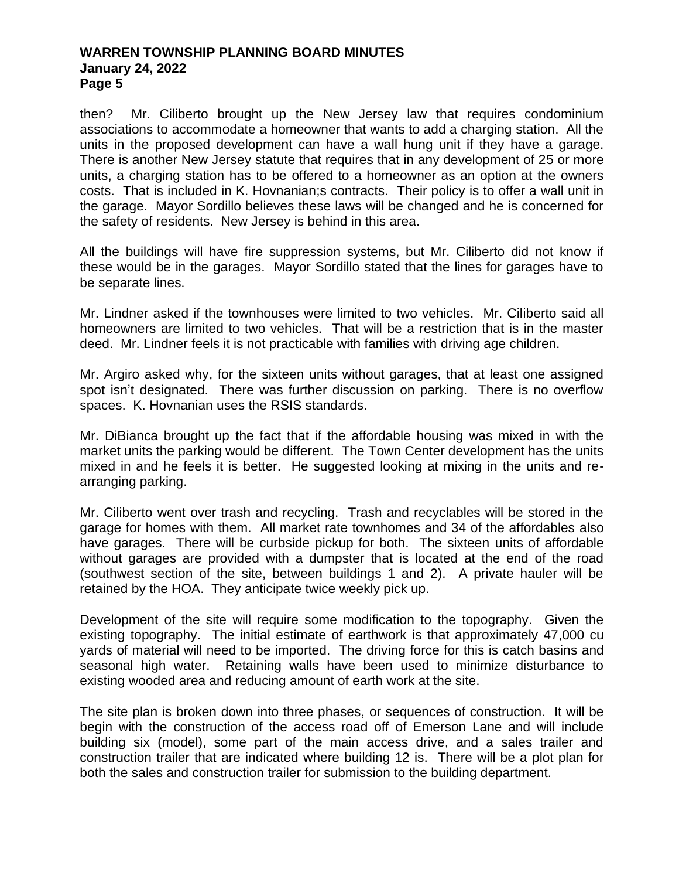then? Mr. Ciliberto brought up the New Jersey law that requires condominium associations to accommodate a homeowner that wants to add a charging station. All the units in the proposed development can have a wall hung unit if they have a garage. There is another New Jersey statute that requires that in any development of 25 or more units, a charging station has to be offered to a homeowner as an option at the owners costs. That is included in K. Hovnanian;s contracts. Their policy is to offer a wall unit in the garage. Mayor Sordillo believes these laws will be changed and he is concerned for the safety of residents. New Jersey is behind in this area.

All the buildings will have fire suppression systems, but Mr. Ciliberto did not know if these would be in the garages. Mayor Sordillo stated that the lines for garages have to be separate lines.

Mr. Lindner asked if the townhouses were limited to two vehicles. Mr. Ciliberto said all homeowners are limited to two vehicles. That will be a restriction that is in the master deed. Mr. Lindner feels it is not practicable with families with driving age children.

Mr. Argiro asked why, for the sixteen units without garages, that at least one assigned spot isn't designated. There was further discussion on parking. There is no overflow spaces. K. Hovnanian uses the RSIS standards.

Mr. DiBianca brought up the fact that if the affordable housing was mixed in with the market units the parking would be different. The Town Center development has the units mixed in and he feels it is better. He suggested looking at mixing in the units and rearranging parking.

Mr. Ciliberto went over trash and recycling. Trash and recyclables will be stored in the garage for homes with them. All market rate townhomes and 34 of the affordables also have garages. There will be curbside pickup for both. The sixteen units of affordable without garages are provided with a dumpster that is located at the end of the road (southwest section of the site, between buildings 1 and 2). A private hauler will be retained by the HOA. They anticipate twice weekly pick up.

Development of the site will require some modification to the topography. Given the existing topography. The initial estimate of earthwork is that approximately 47,000 cu yards of material will need to be imported. The driving force for this is catch basins and seasonal high water. Retaining walls have been used to minimize disturbance to existing wooded area and reducing amount of earth work at the site.

The site plan is broken down into three phases, or sequences of construction. It will be begin with the construction of the access road off of Emerson Lane and will include building six (model), some part of the main access drive, and a sales trailer and construction trailer that are indicated where building 12 is. There will be a plot plan for both the sales and construction trailer for submission to the building department.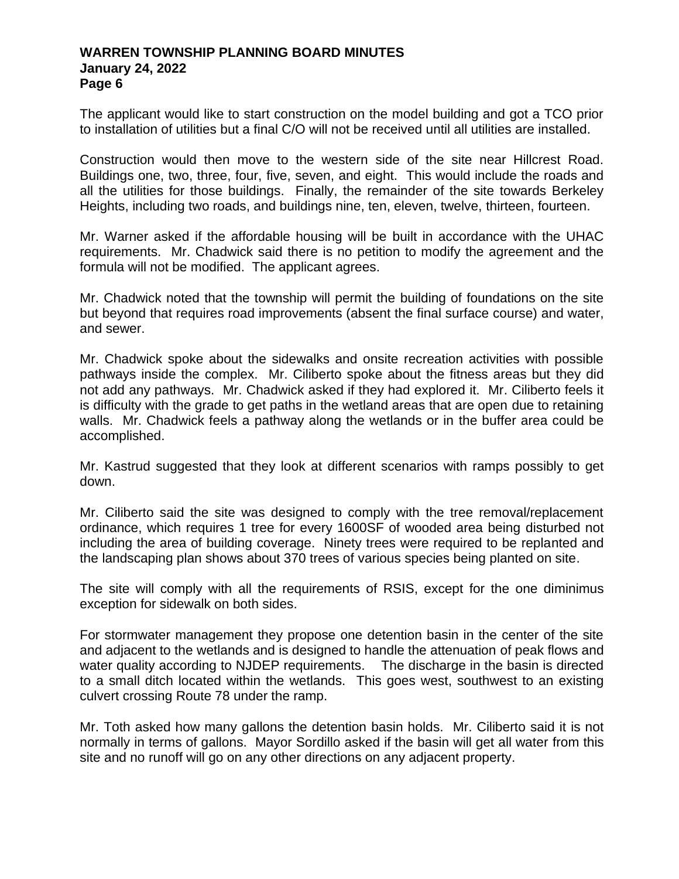The applicant would like to start construction on the model building and got a TCO prior to installation of utilities but a final C/O will not be received until all utilities are installed.

Construction would then move to the western side of the site near Hillcrest Road. Buildings one, two, three, four, five, seven, and eight. This would include the roads and all the utilities for those buildings. Finally, the remainder of the site towards Berkeley Heights, including two roads, and buildings nine, ten, eleven, twelve, thirteen, fourteen.

Mr. Warner asked if the affordable housing will be built in accordance with the UHAC requirements. Mr. Chadwick said there is no petition to modify the agreement and the formula will not be modified. The applicant agrees.

Mr. Chadwick noted that the township will permit the building of foundations on the site but beyond that requires road improvements (absent the final surface course) and water, and sewer.

Mr. Chadwick spoke about the sidewalks and onsite recreation activities with possible pathways inside the complex. Mr. Ciliberto spoke about the fitness areas but they did not add any pathways. Mr. Chadwick asked if they had explored it. Mr. Ciliberto feels it is difficulty with the grade to get paths in the wetland areas that are open due to retaining walls. Mr. Chadwick feels a pathway along the wetlands or in the buffer area could be accomplished.

Mr. Kastrud suggested that they look at different scenarios with ramps possibly to get down.

Mr. Ciliberto said the site was designed to comply with the tree removal/replacement ordinance, which requires 1 tree for every 1600SF of wooded area being disturbed not including the area of building coverage. Ninety trees were required to be replanted and the landscaping plan shows about 370 trees of various species being planted on site.

The site will comply with all the requirements of RSIS, except for the one diminimus exception for sidewalk on both sides.

For stormwater management they propose one detention basin in the center of the site and adjacent to the wetlands and is designed to handle the attenuation of peak flows and water quality according to NJDEP requirements. The discharge in the basin is directed to a small ditch located within the wetlands. This goes west, southwest to an existing culvert crossing Route 78 under the ramp.

Mr. Toth asked how many gallons the detention basin holds. Mr. Ciliberto said it is not normally in terms of gallons. Mayor Sordillo asked if the basin will get all water from this site and no runoff will go on any other directions on any adjacent property.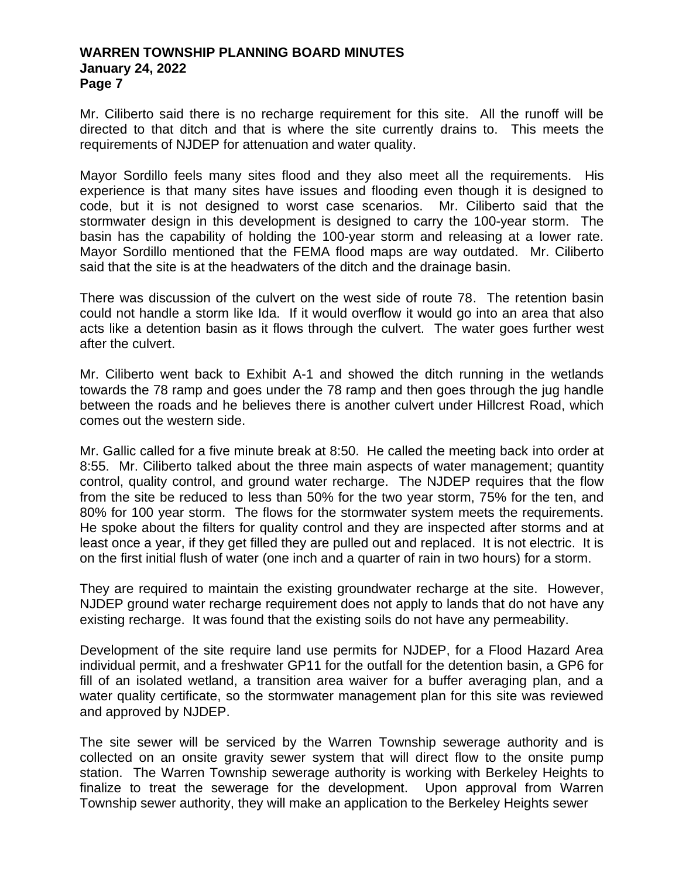Mr. Ciliberto said there is no recharge requirement for this site. All the runoff will be directed to that ditch and that is where the site currently drains to. This meets the requirements of NJDEP for attenuation and water quality.

Mayor Sordillo feels many sites flood and they also meet all the requirements. His experience is that many sites have issues and flooding even though it is designed to code, but it is not designed to worst case scenarios. Mr. Ciliberto said that the stormwater design in this development is designed to carry the 100-year storm. The basin has the capability of holding the 100-year storm and releasing at a lower rate. Mayor Sordillo mentioned that the FEMA flood maps are way outdated. Mr. Ciliberto said that the site is at the headwaters of the ditch and the drainage basin.

There was discussion of the culvert on the west side of route 78. The retention basin could not handle a storm like Ida. If it would overflow it would go into an area that also acts like a detention basin as it flows through the culvert. The water goes further west after the culvert.

Mr. Ciliberto went back to Exhibit A-1 and showed the ditch running in the wetlands towards the 78 ramp and goes under the 78 ramp and then goes through the jug handle between the roads and he believes there is another culvert under Hillcrest Road, which comes out the western side.

Mr. Gallic called for a five minute break at 8:50. He called the meeting back into order at 8:55. Mr. Ciliberto talked about the three main aspects of water management; quantity control, quality control, and ground water recharge. The NJDEP requires that the flow from the site be reduced to less than 50% for the two year storm, 75% for the ten, and 80% for 100 year storm. The flows for the stormwater system meets the requirements. He spoke about the filters for quality control and they are inspected after storms and at least once a year, if they get filled they are pulled out and replaced. It is not electric. It is on the first initial flush of water (one inch and a quarter of rain in two hours) for a storm.

They are required to maintain the existing groundwater recharge at the site. However, NJDEP ground water recharge requirement does not apply to lands that do not have any existing recharge. It was found that the existing soils do not have any permeability.

Development of the site require land use permits for NJDEP, for a Flood Hazard Area individual permit, and a freshwater GP11 for the outfall for the detention basin, a GP6 for fill of an isolated wetland, a transition area waiver for a buffer averaging plan, and a water quality certificate, so the stormwater management plan for this site was reviewed and approved by NJDEP.

The site sewer will be serviced by the Warren Township sewerage authority and is collected on an onsite gravity sewer system that will direct flow to the onsite pump station. The Warren Township sewerage authority is working with Berkeley Heights to finalize to treat the sewerage for the development. Upon approval from Warren Township sewer authority, they will make an application to the Berkeley Heights sewer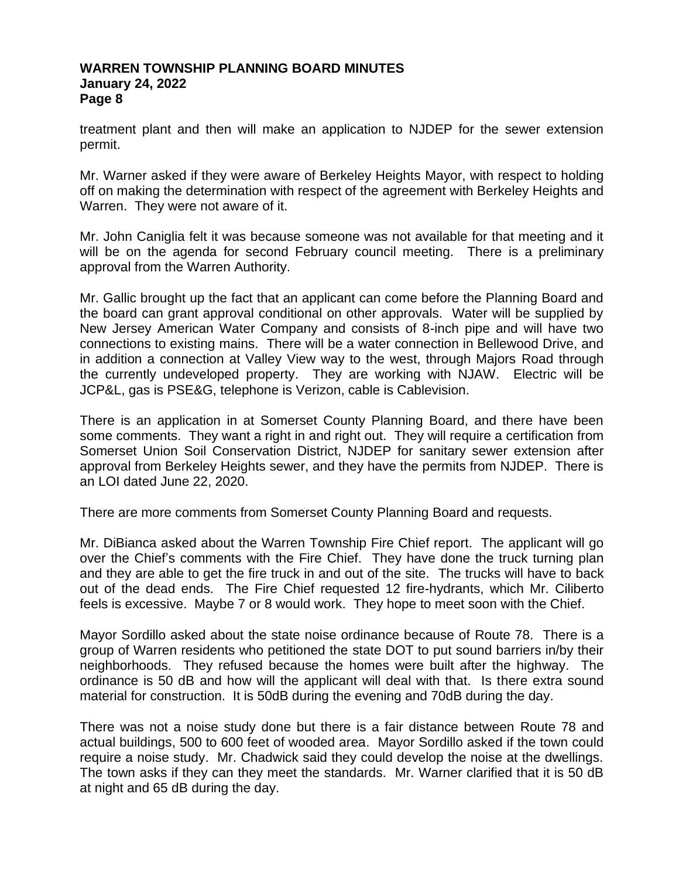treatment plant and then will make an application to NJDEP for the sewer extension permit.

Mr. Warner asked if they were aware of Berkeley Heights Mayor, with respect to holding off on making the determination with respect of the agreement with Berkeley Heights and Warren. They were not aware of it.

Mr. John Caniglia felt it was because someone was not available for that meeting and it will be on the agenda for second February council meeting. There is a preliminary approval from the Warren Authority.

Mr. Gallic brought up the fact that an applicant can come before the Planning Board and the board can grant approval conditional on other approvals. Water will be supplied by New Jersey American Water Company and consists of 8-inch pipe and will have two connections to existing mains. There will be a water connection in Bellewood Drive, and in addition a connection at Valley View way to the west, through Majors Road through the currently undeveloped property. They are working with NJAW. Electric will be JCP&L, gas is PSE&G, telephone is Verizon, cable is Cablevision.

There is an application in at Somerset County Planning Board, and there have been some comments. They want a right in and right out. They will require a certification from Somerset Union Soil Conservation District, NJDEP for sanitary sewer extension after approval from Berkeley Heights sewer, and they have the permits from NJDEP. There is an LOI dated June 22, 2020.

There are more comments from Somerset County Planning Board and requests.

Mr. DiBianca asked about the Warren Township Fire Chief report. The applicant will go over the Chief's comments with the Fire Chief. They have done the truck turning plan and they are able to get the fire truck in and out of the site. The trucks will have to back out of the dead ends. The Fire Chief requested 12 fire-hydrants, which Mr. Ciliberto feels is excessive. Maybe 7 or 8 would work. They hope to meet soon with the Chief.

Mayor Sordillo asked about the state noise ordinance because of Route 78. There is a group of Warren residents who petitioned the state DOT to put sound barriers in/by their neighborhoods. They refused because the homes were built after the highway. The ordinance is 50 dB and how will the applicant will deal with that. Is there extra sound material for construction. It is 50dB during the evening and 70dB during the day.

There was not a noise study done but there is a fair distance between Route 78 and actual buildings, 500 to 600 feet of wooded area. Mayor Sordillo asked if the town could require a noise study. Mr. Chadwick said they could develop the noise at the dwellings. The town asks if they can they meet the standards. Mr. Warner clarified that it is 50 dB at night and 65 dB during the day.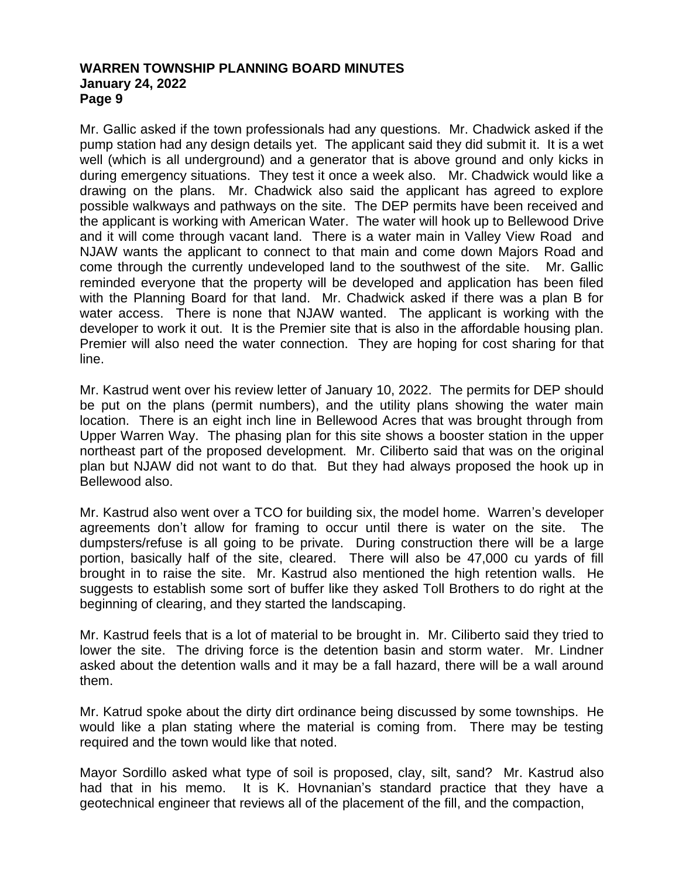Mr. Gallic asked if the town professionals had any questions. Mr. Chadwick asked if the pump station had any design details yet. The applicant said they did submit it. It is a wet well (which is all underground) and a generator that is above ground and only kicks in during emergency situations. They test it once a week also. Mr. Chadwick would like a drawing on the plans. Mr. Chadwick also said the applicant has agreed to explore possible walkways and pathways on the site. The DEP permits have been received and the applicant is working with American Water. The water will hook up to Bellewood Drive and it will come through vacant land. There is a water main in Valley View Road and NJAW wants the applicant to connect to that main and come down Majors Road and come through the currently undeveloped land to the southwest of the site. Mr. Gallic reminded everyone that the property will be developed and application has been filed with the Planning Board for that land. Mr. Chadwick asked if there was a plan B for water access. There is none that NJAW wanted. The applicant is working with the developer to work it out. It is the Premier site that is also in the affordable housing plan. Premier will also need the water connection. They are hoping for cost sharing for that line.

Mr. Kastrud went over his review letter of January 10, 2022. The permits for DEP should be put on the plans (permit numbers), and the utility plans showing the water main location. There is an eight inch line in Bellewood Acres that was brought through from Upper Warren Way. The phasing plan for this site shows a booster station in the upper northeast part of the proposed development. Mr. Ciliberto said that was on the original plan but NJAW did not want to do that. But they had always proposed the hook up in Bellewood also.

Mr. Kastrud also went over a TCO for building six, the model home. Warren's developer agreements don't allow for framing to occur until there is water on the site. The dumpsters/refuse is all going to be private. During construction there will be a large portion, basically half of the site, cleared. There will also be 47,000 cu yards of fill brought in to raise the site. Mr. Kastrud also mentioned the high retention walls. He suggests to establish some sort of buffer like they asked Toll Brothers to do right at the beginning of clearing, and they started the landscaping.

Mr. Kastrud feels that is a lot of material to be brought in. Mr. Ciliberto said they tried to lower the site. The driving force is the detention basin and storm water. Mr. Lindner asked about the detention walls and it may be a fall hazard, there will be a wall around them.

Mr. Katrud spoke about the dirty dirt ordinance being discussed by some townships. He would like a plan stating where the material is coming from. There may be testing required and the town would like that noted.

Mayor Sordillo asked what type of soil is proposed, clay, silt, sand? Mr. Kastrud also had that in his memo. It is K. Hovnanian's standard practice that they have a geotechnical engineer that reviews all of the placement of the fill, and the compaction,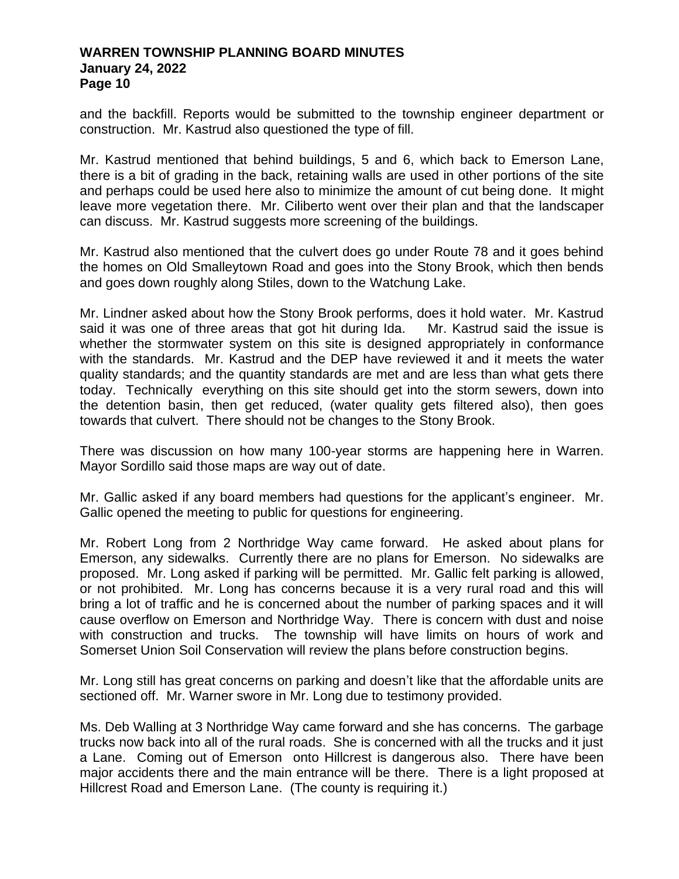and the backfill. Reports would be submitted to the township engineer department or construction. Mr. Kastrud also questioned the type of fill.

Mr. Kastrud mentioned that behind buildings, 5 and 6, which back to Emerson Lane, there is a bit of grading in the back, retaining walls are used in other portions of the site and perhaps could be used here also to minimize the amount of cut being done. It might leave more vegetation there. Mr. Ciliberto went over their plan and that the landscaper can discuss. Mr. Kastrud suggests more screening of the buildings.

Mr. Kastrud also mentioned that the culvert does go under Route 78 and it goes behind the homes on Old Smalleytown Road and goes into the Stony Brook, which then bends and goes down roughly along Stiles, down to the Watchung Lake.

Mr. Lindner asked about how the Stony Brook performs, does it hold water. Mr. Kastrud said it was one of three areas that got hit during Ida. Mr. Kastrud said the issue is whether the stormwater system on this site is designed appropriately in conformance with the standards. Mr. Kastrud and the DEP have reviewed it and it meets the water quality standards; and the quantity standards are met and are less than what gets there today. Technically everything on this site should get into the storm sewers, down into the detention basin, then get reduced, (water quality gets filtered also), then goes towards that culvert. There should not be changes to the Stony Brook.

There was discussion on how many 100-year storms are happening here in Warren. Mayor Sordillo said those maps are way out of date.

Mr. Gallic asked if any board members had questions for the applicant's engineer. Mr. Gallic opened the meeting to public for questions for engineering.

Mr. Robert Long from 2 Northridge Way came forward. He asked about plans for Emerson, any sidewalks. Currently there are no plans for Emerson. No sidewalks are proposed. Mr. Long asked if parking will be permitted. Mr. Gallic felt parking is allowed, or not prohibited. Mr. Long has concerns because it is a very rural road and this will bring a lot of traffic and he is concerned about the number of parking spaces and it will cause overflow on Emerson and Northridge Way. There is concern with dust and noise with construction and trucks. The township will have limits on hours of work and Somerset Union Soil Conservation will review the plans before construction begins.

Mr. Long still has great concerns on parking and doesn't like that the affordable units are sectioned off. Mr. Warner swore in Mr. Long due to testimony provided.

Ms. Deb Walling at 3 Northridge Way came forward and she has concerns. The garbage trucks now back into all of the rural roads. She is concerned with all the trucks and it just a Lane. Coming out of Emerson onto Hillcrest is dangerous also. There have been major accidents there and the main entrance will be there. There is a light proposed at Hillcrest Road and Emerson Lane. (The county is requiring it.)